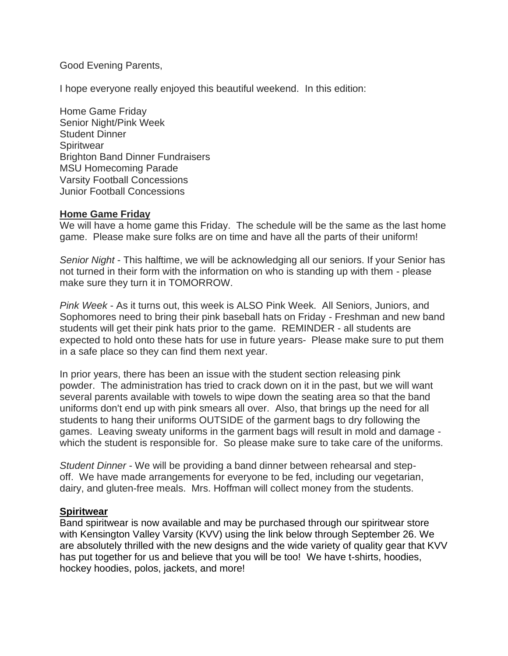Good Evening Parents,

I hope everyone really enjoyed this beautiful weekend. In this edition:

Home Game Friday Senior Night/Pink Week Student Dinner **Spiritwear** Brighton Band Dinner Fundraisers MSU Homecoming Parade Varsity Football Concessions Junior Football Concessions

#### **Home Game Friday**

We will have a home game this Friday. The schedule will be the same as the last home game. Please make sure folks are on time and have all the parts of their uniform!

*Senior Night* - This halftime, we will be acknowledging all our seniors. If your Senior has not turned in their form with the information on who is standing up with them - please make sure they turn it in TOMORROW.

*Pink Week* - As it turns out, this week is ALSO Pink Week. All Seniors, Juniors, and Sophomores need to bring their pink baseball hats on Friday - Freshman and new band students will get their pink hats prior to the game. REMINDER - all students are expected to hold onto these hats for use in future years- Please make sure to put them in a safe place so they can find them next year.

In prior years, there has been an issue with the student section releasing pink powder. The administration has tried to crack down on it in the past, but we will want several parents available with towels to wipe down the seating area so that the band uniforms don't end up with pink smears all over. Also, that brings up the need for all students to hang their uniforms OUTSIDE of the garment bags to dry following the games. Leaving sweaty uniforms in the garment bags will result in mold and damage which the student is responsible for. So please make sure to take care of the uniforms.

*Student Dinner* - We will be providing a band dinner between rehearsal and stepoff. We have made arrangements for everyone to be fed, including our vegetarian, dairy, and gluten-free meals. Mrs. Hoffman will collect money from the students.

### **Spiritwear**

Band spiritwear is now available and may be purchased through our spiritwear store with Kensington Valley Varsity (KVV) using the link below through September 26. We are absolutely thrilled with the new designs and the wide variety of quality gear that KVV has put together for us and believe that you will be too! We have t-shirts, hoodies, hockey hoodies, polos, jackets, and more!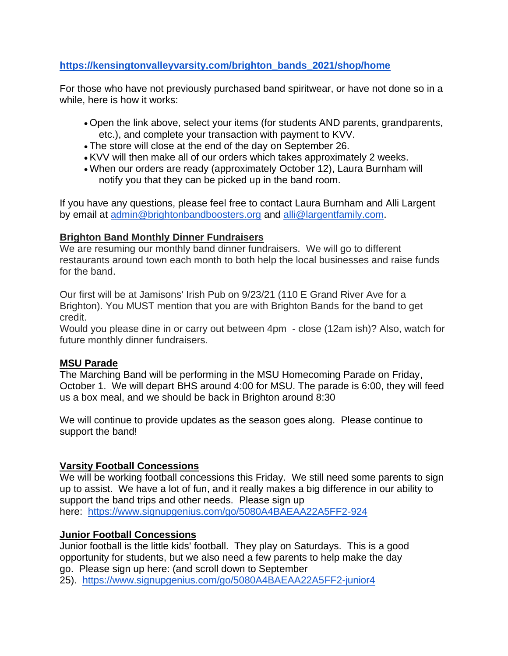## **[https://kensingtonvalleyvarsity.com/brighton\\_bands\\_2021/shop/home](https://kensingtonvalleyvarsity.com/brighton_bands_2021/shop/home)**

For those who have not previously purchased band spiritwear, or have not done so in a while, here is how it works:

- Open the link above, select your items (for students AND parents, grandparents, etc.), and complete your transaction with payment to KVV.
- The store will close at the end of the day on September 26.
- KVV will then make all of our orders which takes approximately 2 weeks.
- When our orders are ready (approximately October 12), Laura Burnham will notify you that they can be picked up in the band room.

If you have any questions, please feel free to contact Laura Burnham and Alli Largent by email at [admin@brightonbandboosters.org](mailto:admin@brightonbandboosters.org) and [alli@largentfamily.com.](mailto:alli@largentfamily.com)

### **Brighton Band Monthly Dinner Fundraisers**

We are resuming our monthly band dinner fundraisers. We will go to different restaurants around town each month to both help the local businesses and raise funds for the band.

Our first will be at Jamisons' Irish Pub on 9/23/21 (110 E Grand River Ave for a Brighton). You MUST mention that you are with Brighton Bands for the band to get credit.

Would you please dine in or carry out between 4pm - close (12am ish)? Also, watch for future monthly dinner fundraisers.

### **MSU Parade**

The Marching Band will be performing in the MSU Homecoming Parade on Friday, October 1. We will depart BHS around 4:00 for MSU. The parade is 6:00, they will feed us a box meal, and we should be back in Brighton around 8:30

We will continue to provide updates as the season goes along. Please continue to support the band!

### **Varsity Football Concessions**

We will be working football concessions this Friday. We still need some parents to sign up to assist. We have a lot of fun, and it really makes a big difference in our ability to support the band trips and other needs. Please sign up here: <https://www.signupgenius.com/go/5080A4BAEAA22A5FF2-924>

### **Junior Football Concessions**

Junior football is the little kids' football. They play on Saturdays. This is a good opportunity for students, but we also need a few parents to help make the day go. Please sign up here: (and scroll down to September 25). <https://www.signupgenius.com/go/5080A4BAEAA22A5FF2-junior4>